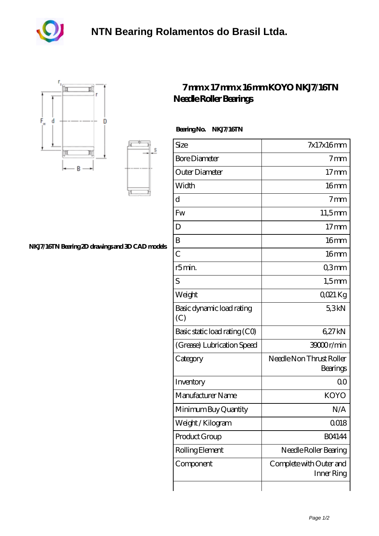





S

## **[NKJ7/16TN Bearing 2D drawings and 3D CAD models](https://m.akfvr.com/pic-65071339.html)**

## **[7 mm x 17 mm x 16 mm KOYO NKJ7/16TN](https://m.akfvr.com/am-65071339-koyo-nkj7-16tn-needle-roller-bearings.html) [Needle Roller Bearings](https://m.akfvr.com/am-65071339-koyo-nkj7-16tn-needle-roller-bearings.html)**

 **Bearing No. NKJ7/16TN**

| Size                             | 7x17x16mm                             |
|----------------------------------|---------------------------------------|
| <b>Bore Diameter</b>             | 7 <sub>mm</sub>                       |
| Outer Diameter                   | $17 \text{mm}$                        |
| Width                            | 16 <sub>mm</sub>                      |
| d                                | 7 <sub>mm</sub>                       |
| Fw                               | $11,5$ mm                             |
| D                                | 17 <sub>mm</sub>                      |
| B                                | 16 <sub>mm</sub>                      |
| $\overline{C}$                   | 16 <sub>mm</sub>                      |
| r5min.                           | Q3mm                                  |
| S                                | $1,5$ mm                              |
| Weight                           | $Q$ $Q$ $21$ $Kg$                     |
| Basic dynamic load rating<br>(C) | 5,3kN                                 |
| Basic static load rating (CO)    | 627kN                                 |
| (Grease) Lubrication Speed       | 39000r/min                            |
| Category                         | Needle Non Thrust Roller<br>Bearings  |
| Inventory                        | 0 <sup>0</sup>                        |
| Manufacturer Name                | <b>KOYO</b>                           |
| Minimum Buy Quantity             | N/A                                   |
| Weight / Kilogram                | 0018                                  |
| Product Group                    | <b>BO4144</b>                         |
| Rolling Element                  | Needle Roller Bearing                 |
| Component                        | Complete with Outer and<br>Inner Ring |
|                                  |                                       |